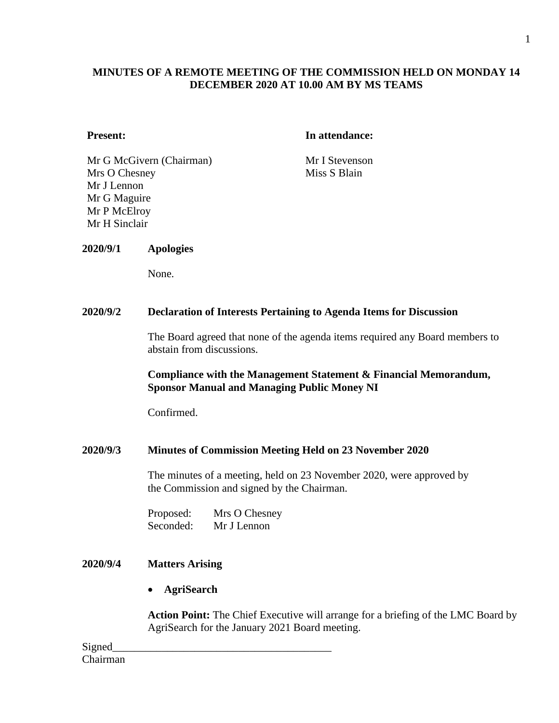# **MINUTES OF A REMOTE MEETING OF THE COMMISSION HELD ON MONDAY 14 DECEMBER 2020 AT 10.00 AM BY MS TEAMS**

#### **Present: In attendance:**

Mr G McGivern (Chairman) Mr I Stevenson Mrs O Chesney Mr J Lennon Mr G Maguire Mr P McElroy Mr H Sinclair

Miss S Blain

#### **2020/9/1 Apologies**

None.

#### **2020/9/2 Declaration of Interests Pertaining to Agenda Items for Discussion**

The Board agreed that none of the agenda items required any Board members to abstain from discussions.

# **Compliance with the Management Statement & Financial Memorandum, Sponsor Manual and Managing Public Money NI**

Confirmed.

# **2020/9/3 Minutes of Commission Meeting Held on 23 November 2020**

The minutes of a meeting, held on 23 November 2020, were approved by the Commission and signed by the Chairman.

Proposed: Mrs O Chesney Seconded: Mr J Lennon

# **2020/9/4 Matters Arising**

• **AgriSearch**

**Action Point:** The Chief Executive will arrange for a briefing of the LMC Board by AgriSearch for the January 2021 Board meeting.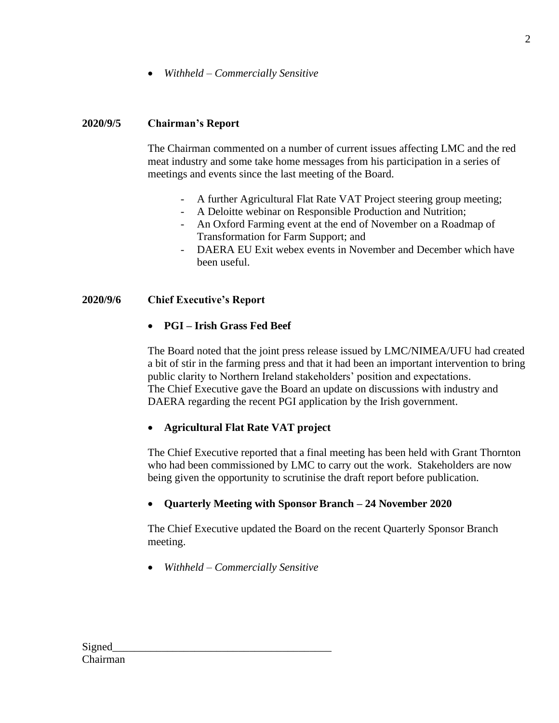• *Withheld – Commercially Sensitive*

# **2020/9/5 Chairman's Report**

The Chairman commented on a number of current issues affecting LMC and the red meat industry and some take home messages from his participation in a series of meetings and events since the last meeting of the Board.

- A further Agricultural Flat Rate VAT Project steering group meeting;
- A Deloitte webinar on Responsible Production and Nutrition;
- An Oxford Farming event at the end of November on a Roadmap of Transformation for Farm Support; and
- DAERA EU Exit webex events in November and December which have been useful.

# **2020/9/6 Chief Executive's Report**

• **PGI – Irish Grass Fed Beef**

The Board noted that the joint press release issued by LMC/NIMEA/UFU had created a bit of stir in the farming press and that it had been an important intervention to bring public clarity to Northern Ireland stakeholders' position and expectations. The Chief Executive gave the Board an update on discussions with industry and DAERA regarding the recent PGI application by the Irish government.

# • **Agricultural Flat Rate VAT project**

The Chief Executive reported that a final meeting has been held with Grant Thornton who had been commissioned by LMC to carry out the work. Stakeholders are now being given the opportunity to scrutinise the draft report before publication.

# • **Quarterly Meeting with Sponsor Branch – 24 November 2020**

The Chief Executive updated the Board on the recent Quarterly Sponsor Branch meeting.

• *Withheld – Commercially Sensitive*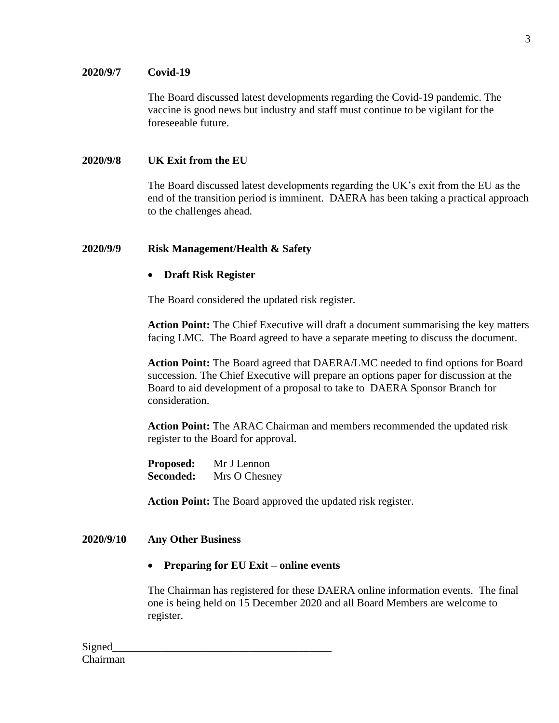# **2020/9/7 Covid-19**

The Board discussed latest developments regarding the Covid-19 pandemic. The vaccine is good news but industry and staff must continue to be vigilant for the foreseeable future.

# **2020/9/8 UK Exit from the EU**

The Board discussed latest developments regarding the UK's exit from the EU as the end of the transition period is imminent. DAERA has been taking a practical approach to the challenges ahead.

# **2020/9/9 Risk Management/Health & Safety**

# • **Draft Risk Register**

The Board considered the updated risk register.

**Action Point:** The Chief Executive will draft a document summarising the key matters facing LMC. The Board agreed to have a separate meeting to discuss the document.

**Action Point:** The Board agreed that DAERA/LMC needed to find options for Board succession. The Chief Executive will prepare an options paper for discussion at the Board to aid development of a proposal to take to DAERA Sponsor Branch for consideration.

**Action Point:** The ARAC Chairman and members recommended the updated risk register to the Board for approval.

**Proposed:** Mr J Lennon **Seconded:** Mrs O Chesney

**Action Point:** The Board approved the updated risk register.

# **2020/9/10 Any Other Business**

• **Preparing for EU Exit – online events**

The Chairman has registered for these DAERA online information events. The final one is being held on 15 December 2020 and all Board Members are welcome to register.